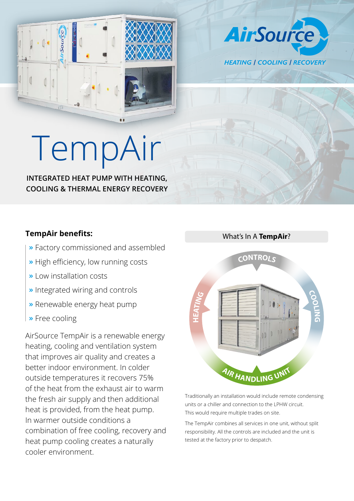

**AirSource HEATING | COOLING | RECOVERY** 

## TempA

**INTEGRATED HEAT PUMP WITH HEATING, COOLING & THERMAL ENERGY RECOVERY**

## **TempAir benefits:**

- **»** Factory commissioned and assembled
- **»** High efficiency, low running costs
- **»** Low installation costs
- **»** Integrated wiring and controls
- **»** Renewable energy heat pump
- **»** Free cooling

AirSource TempAir is a renewable energy heating, cooling and ventilation system that improves air quality and creates a better indoor environment. In colder outside temperatures it recovers 75% of the heat from the exhaust air to warm the fresh air supply and then additional heat is provided, from the heat pump. In warmer outside conditions a combination of free cooling, recovery and heat pump cooling creates a naturally cooler environment.



Traditionally an installation would include remote condensing units or a chiller and connection to the LPHW circuit. This would require multiple trades on site.

The TempAir combines all services in one unit, without split responsibility. All the controls are included and the unit is tested at the factory prior to despatch.